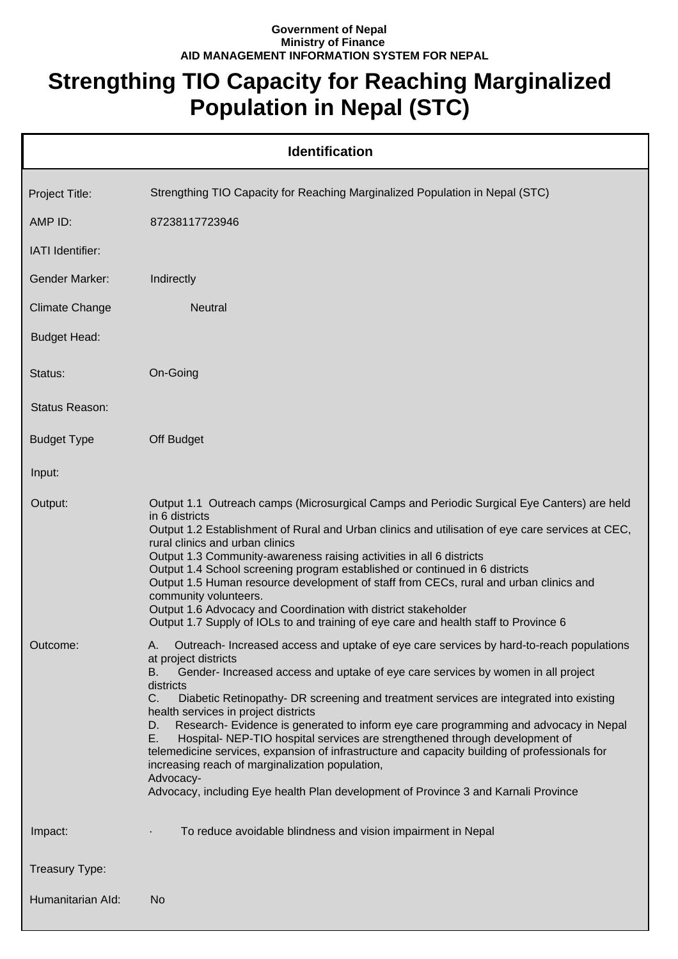## **Government of Nepal Ministry of Finance AID MANAGEMENT INFORMATION SYSTEM FOR NEPAL**

## **Strengthing TIO Capacity for Reaching Marginalized Population in Nepal (STC)**

|                       | <b>Identification</b>                                                                                                                                                                                                                                                                                                                                                                                                                                                                                                                                                                                                                                                                                                                                                                                        |
|-----------------------|--------------------------------------------------------------------------------------------------------------------------------------------------------------------------------------------------------------------------------------------------------------------------------------------------------------------------------------------------------------------------------------------------------------------------------------------------------------------------------------------------------------------------------------------------------------------------------------------------------------------------------------------------------------------------------------------------------------------------------------------------------------------------------------------------------------|
| Project Title:        | Strengthing TIO Capacity for Reaching Marginalized Population in Nepal (STC)                                                                                                                                                                                                                                                                                                                                                                                                                                                                                                                                                                                                                                                                                                                                 |
| AMP ID:               | 87238117723946                                                                                                                                                                                                                                                                                                                                                                                                                                                                                                                                                                                                                                                                                                                                                                                               |
| IATI Identifier:      |                                                                                                                                                                                                                                                                                                                                                                                                                                                                                                                                                                                                                                                                                                                                                                                                              |
| Gender Marker:        | Indirectly                                                                                                                                                                                                                                                                                                                                                                                                                                                                                                                                                                                                                                                                                                                                                                                                   |
| <b>Climate Change</b> | <b>Neutral</b>                                                                                                                                                                                                                                                                                                                                                                                                                                                                                                                                                                                                                                                                                                                                                                                               |
| <b>Budget Head:</b>   |                                                                                                                                                                                                                                                                                                                                                                                                                                                                                                                                                                                                                                                                                                                                                                                                              |
| Status:               | On-Going                                                                                                                                                                                                                                                                                                                                                                                                                                                                                                                                                                                                                                                                                                                                                                                                     |
| Status Reason:        |                                                                                                                                                                                                                                                                                                                                                                                                                                                                                                                                                                                                                                                                                                                                                                                                              |
| <b>Budget Type</b>    | Off Budget                                                                                                                                                                                                                                                                                                                                                                                                                                                                                                                                                                                                                                                                                                                                                                                                   |
| Input:                |                                                                                                                                                                                                                                                                                                                                                                                                                                                                                                                                                                                                                                                                                                                                                                                                              |
| Output:               | Output 1.1 Outreach camps (Microsurgical Camps and Periodic Surgical Eye Canters) are held<br>in 6 districts<br>Output 1.2 Establishment of Rural and Urban clinics and utilisation of eye care services at CEC,<br>rural clinics and urban clinics<br>Output 1.3 Community-awareness raising activities in all 6 districts<br>Output 1.4 School screening program established or continued in 6 districts<br>Output 1.5 Human resource development of staff from CECs, rural and urban clinics and<br>community volunteers.<br>Output 1.6 Advocacy and Coordination with district stakeholder<br>Output 1.7 Supply of IOLs to and training of eye care and health staff to Province 6                                                                                                                       |
| Outcome:              | Outreach- Increased access and uptake of eye care services by hard-to-reach populations<br>at project districts<br>Gender-Increased access and uptake of eye care services by women in all project<br>В.<br>districts<br>$C_{-}$<br>Diabetic Retinopathy- DR screening and treatment services are integrated into existing<br>health services in project districts<br>Research- Evidence is generated to inform eye care programming and advocacy in Nepal<br>D.<br>E.<br>Hospital- NEP-TIO hospital services are strengthened through development of<br>telemedicine services, expansion of infrastructure and capacity building of professionals for<br>increasing reach of marginalization population,<br>Advocacy-<br>Advocacy, including Eye health Plan development of Province 3 and Karnali Province |
| Impact:               | To reduce avoidable blindness and vision impairment in Nepal                                                                                                                                                                                                                                                                                                                                                                                                                                                                                                                                                                                                                                                                                                                                                 |
| Treasury Type:        |                                                                                                                                                                                                                                                                                                                                                                                                                                                                                                                                                                                                                                                                                                                                                                                                              |
| Humanitarian Ald:     | N <sub>o</sub>                                                                                                                                                                                                                                                                                                                                                                                                                                                                                                                                                                                                                                                                                                                                                                                               |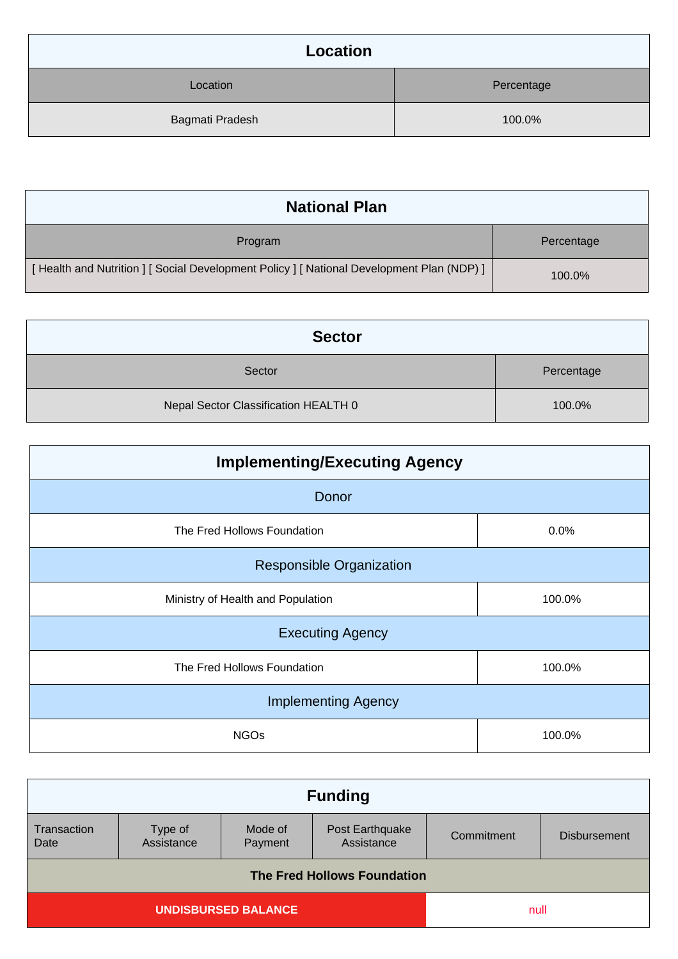| Location        |            |
|-----------------|------------|
| Location        | Percentage |
| Bagmati Pradesh | 100.0%     |

| <b>National Plan</b>                                                                    |            |
|-----------------------------------------------------------------------------------------|------------|
| Program                                                                                 | Percentage |
| [Health and Nutrition ] [Social Development Policy ] [National Development Plan (NDP) ] | 100.0%     |

| <b>Sector</b>                        |            |
|--------------------------------------|------------|
| Sector                               | Percentage |
| Nepal Sector Classification HEALTH 0 | 100.0%     |

| <b>Implementing/Executing Agency</b> |        |  |
|--------------------------------------|--------|--|
| Donor                                |        |  |
| The Fred Hollows Foundation          | 0.0%   |  |
| <b>Responsible Organization</b>      |        |  |
| Ministry of Health and Population    | 100.0% |  |
| <b>Executing Agency</b>              |        |  |
| The Fred Hollows Foundation          | 100.0% |  |
| <b>Implementing Agency</b>           |        |  |
| <b>NGOs</b>                          | 100.0% |  |

| <b>Funding</b>                     |                       |                    |                               |            |                     |
|------------------------------------|-----------------------|--------------------|-------------------------------|------------|---------------------|
| Transaction<br>Date                | Type of<br>Assistance | Mode of<br>Payment | Post Earthquake<br>Assistance | Commitment | <b>Disbursement</b> |
| <b>The Fred Hollows Foundation</b> |                       |                    |                               |            |                     |
| <b>UNDISBURSED BALANCE</b>         |                       |                    | null                          |            |                     |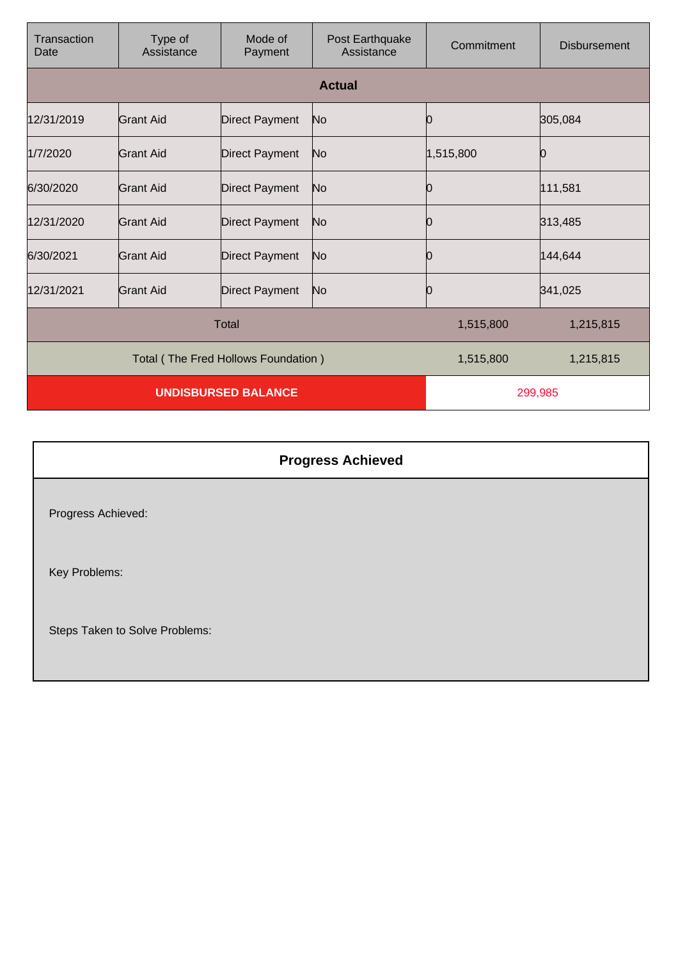| Transaction<br>Date                 | Type of<br>Assistance | Mode of<br>Payment    | Post Earthquake<br>Assistance | Commitment | <b>Disbursement</b> |
|-------------------------------------|-----------------------|-----------------------|-------------------------------|------------|---------------------|
|                                     |                       |                       | <b>Actual</b>                 |            |                     |
| 12/31/2019                          | Grant Aid             | <b>Direct Payment</b> | N <sub>o</sub>                | 0          | 305,084             |
| 1/7/2020                            | Grant Aid             | <b>Direct Payment</b> | No                            | 1,515,800  |                     |
| 6/30/2020                           | Grant Aid             | <b>Direct Payment</b> | No                            | Ю          | 111,581             |
| 12/31/2020                          | Grant Aid             | <b>Direct Payment</b> | N <sub>o</sub>                | 0          | 313,485             |
| 6/30/2021                           | Grant Aid             | <b>Direct Payment</b> | No                            | 0          | 144,644             |
| 12/31/2021                          | Grant Aid             | <b>Direct Payment</b> | No                            | 0          | 341,025             |
| <b>Total</b>                        |                       |                       | 1,515,800                     | 1,215,815  |                     |
| Total (The Fred Hollows Foundation) |                       |                       | 1,515,800                     | 1,215,815  |                     |
| <b>UNDISBURSED BALANCE</b>          |                       |                       | 299,985                       |            |                     |

|                                | <b>Progress Achieved</b> |
|--------------------------------|--------------------------|
| Progress Achieved:             |                          |
| Key Problems:                  |                          |
| Steps Taken to Solve Problems: |                          |